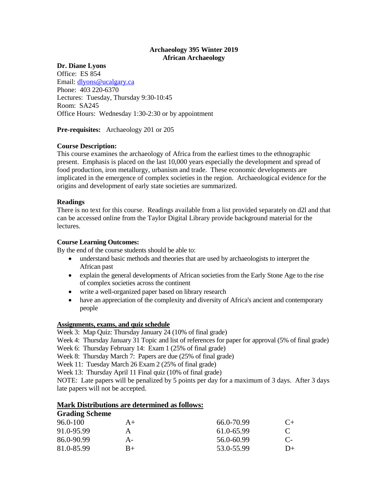### **Archaeology 395 Winter 2019 African Archaeology**

### **Dr. Diane Lyons**

Office: ES 854 Email: [dlyons@ucalgary.ca](mailto:dlyons@ucalgary.ca) Phone: 403 220-6370 Lectures: Tuesday, Thursday 9:30-10:45 Room: SA245 Office Hours: Wednesday 1:30-2:30 or by appointment

**Pre-requisites:** Archaeology 201 or 205

### **Course Description:**

This course examines the archaeology of Africa from the earliest times to the ethnographic present. Emphasis is placed on the last 10,000 years especially the development and spread of food production, iron metallurgy, urbanism and trade. These economic developments are implicated in the emergence of complex societies in the region. Archaeological evidence for the origins and development of early state societies are summarized.

### **Readings**

There is no text for this course. Readings available from a list provided separately on d2l and that can be accessed online from the Taylor Digital Library provide background material for the lectures.

### **Course Learning Outcomes:**

By the end of the course students should be able to:

- understand basic methods and theories that are used by archaeologists to interpret the African past
- explain the general developments of African societies from the Early Stone Age to the rise of complex societies across the continent
- write a well-organized paper based on library research
- have an appreciation of the complexity and diversity of Africa's ancient and contemporary people

## **Assignments, exams, and quiz schedule**

Week 3: Map Quiz: Thursday January 24 (10% of final grade)

Week 4: Thursday January 31 Topic and list of references for paper for approval (5% of final grade) Week 6: Thursday February 14: Exam 1 (25% of final grade)

Week 8: Thursday March 7: Papers are due (25% of final grade)

Week 11: Tuesday March 26 Exam 2 (25% of final grade)

Week 13: Thursday April 11 Final quiz (10% of final grade)

NOTE: Late papers will be penalized by 5 points per day for a maximum of 3 days. After 3 days late papers will not be accepted.

### **Mark Distributions are determined as follows:**

#### **Grading Scheme**

| 96.0-100   | $A+$ | 66.0-70.99 | $\mathsf{C}$ + |
|------------|------|------------|----------------|
| 91.0-95.99 | А    | 61.0-65.99 | C              |
| 86.0-90.99 | А-   | 56.0-60.99 | $C_{\pm}$      |
| 81.0-85.99 | $B+$ | 53.0-55.99 | D+             |
|            |      |            |                |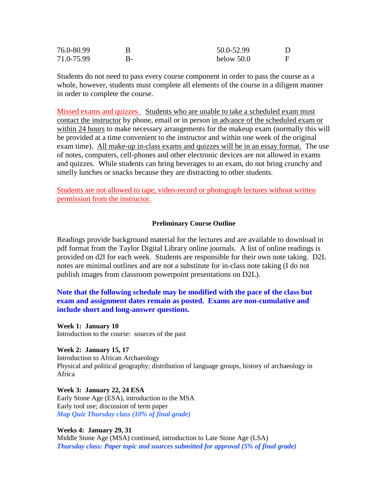| 76.0-80.99 |    | 50.0-52.99   |  |
|------------|----|--------------|--|
| 71.0-75.99 | ĸ- | below $50.0$ |  |

Students do not need to pass every course component in order to pass the course as a whole, however, students must complete all elements of the course in a diligent manner in order to complete the course.

Missed exams and quizzes. Students who are unable to take a scheduled exam must contact the instructor by phone, email or in person in advance of the scheduled exam or within 24 hours to make necessary arrangements for the makeup exam (normally this will be provided at a time convenient to the instructor and within one week of the original exam time). All make-up in-class exams and quizzes will be in an essay format. The use of notes, computers, cell-phones and other electronic devices are not allowed in exams and quizzes. While students can bring beverages to an exam, do not bring crunchy and smelly lunches or snacks because they are distracting to other students.

Students are not allowed to tape, video-record or photograph lectures without written permission from the instructor.

### **Preliminary Course Outline**

Readings provide background material for the lectures and are available to download in pdf format from the Taylor Digital Library online journals. A list of online readings is provided on d2l for each week. Students are responsible for their own note taking. D2L notes are minimal outlines and are not a substitute for in-class note taking (I do not publish images from classroom powerpoint presentations on D2L).

## **Note that the following schedule may be modified with the pace of the class but exam and assignment dates remain as posted. Exams are non-cumulative and include short and long-answer questions.**

**Week 1: January 10** Introduction to the course: sources of the past

**Week 2: January 15, 17** Introduction to African Archaeology Physical and political geography; distribution of language groups, history of archaeology in Africa

**Week 3: January 22, 24 ESA**  Early Stone Age (ESA), introduction to the MSA Early tool use; discussion of term paper *Map Quiz Thursday class (10% of final grade)*

**Weeks 4: January 29, 31** Middle Stone Age (MSA) continued, introduction to Late Stone Age (LSA) *Thursday class: Paper topic and sources submitted for approval (5% of final grade)*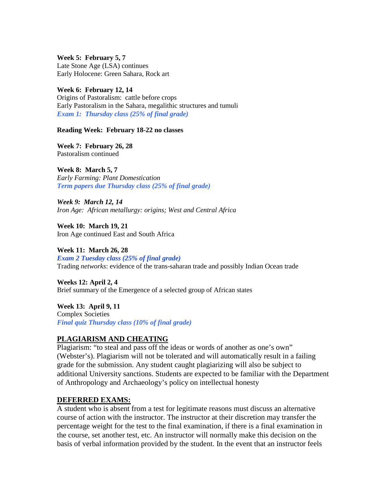**Week 5: February 5, 7** Late Stone Age (LSA) continues Early Holocene: Green Sahara, Rock art

**Week 6: February 12, 14** Origins of Pastoralism: cattle before crops Early Pastoralism in the Sahara, megalithic structures and tumuli *Exam 1: Thursday class (25% of final grade)*

**Reading Week: February 18-22 no classes**

**Week 7: February 26, 28** Pastoralism continued

**Week 8: March 5, 7** *Early Farming: Plant Domestication* 

*Term papers due Thursday class (25% of final grade)*

*Week 9: March 12, 14 Iron Age: African metallurgy: origins; West and Central Africa*

**Week 10: March 19, 21** Iron Age continued East and South Africa

**Week 11: March 26, 28**

*Exam 2 Tuesday class (25% of final grade)* Trading *networks*: evidence of the trans-saharan trade and possibly Indian Ocean trade

**Weeks 12: April 2, 4** Brief summary of the Emergence of a selected group of African states

**Week 13: April 9, 11** Complex Societies *Final quiz Thursday class (10% of final grade)*

### **PLAGIARISM AND CHEATING**

Plagiarism: "to steal and pass off the ideas or words of another as one's own" (Webster's). Plagiarism will not be tolerated and will automatically result in a failing grade for the submission. Any student caught plagiarizing will also be subject to additional University sanctions. Students are expected to be familiar with the Department of Anthropology and Archaeology's policy on intellectual honesty

### **DEFERRED EXAMS:**

A student who is absent from a test for legitimate reasons must discuss an alternative course of action with the instructor. The instructor at their discretion may transfer the percentage weight for the test to the final examination, if there is a final examination in the course, set another test, etc. An instructor will normally make this decision on the basis of verbal information provided by the student. In the event that an instructor feels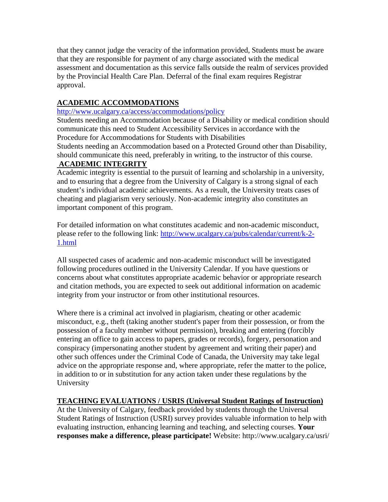that they cannot judge the veracity of the information provided, Students must be aware that they are responsible for payment of any charge associated with the medical assessment and documentation as this service falls outside the realm of services provided by the Provincial Health Care Plan. Deferral of the final exam requires Registrar approval.

# **ACADEMIC ACCOMMODATIONS**

<http://www.ucalgary.ca/access/accommodations/policy>

Students needing an Accommodation because of a Disability or medical condition should communicate this need to Student Accessibility Services in accordance with the Procedure for Accommodations for Students with Disabilities

Students needing an Accommodation based on a Protected Ground other than Disability, should communicate this need, preferably in writing, to the instructor of this course.

## **ACADEMIC INTEGRITY**

Academic integrity is essential to the pursuit of learning and scholarship in a university, and to ensuring that a degree from the University of Calgary is a strong signal of each student's individual academic achievements. As a result, the University treats cases of cheating and plagiarism very seriously. Non-academic integrity also constitutes an important component of this program.

For detailed information on what constitutes academic and non-academic misconduct, please refer to the following link: [http://www.ucalgary.ca/pubs/calendar/current/k-2-](http://www.ucalgary.ca/pubs/calendar/current/k-2-1.html) [1.html](http://www.ucalgary.ca/pubs/calendar/current/k-2-1.html)

All suspected cases of academic and non-academic misconduct will be investigated following procedures outlined in the University Calendar. If you have questions or concerns about what constitutes appropriate academic behavior or appropriate research and citation methods, you are expected to seek out additional information on academic integrity from your instructor or from other institutional resources.

Where there is a criminal act involved in plagiarism, cheating or other academic misconduct, e.g., theft (taking another student's paper from their possession, or from the possession of a faculty member without permission), breaking and entering (forcibly entering an office to gain access to papers, grades or records), forgery, personation and conspiracy (impersonating another student by agreement and writing their paper) and other such offences under the Criminal Code of Canada, the University may take legal advice on the appropriate response and, where appropriate, refer the matter to the police, in addition to or in substitution for any action taken under these regulations by the University

### **TEACHING EVALUATIONS / USRIS (Universal Student Ratings of Instruction)**

At the University of Calgary, feedback provided by students through the Universal Student Ratings of Instruction (USRI) survey provides valuable information to help with evaluating instruction, enhancing learning and teaching, and selecting courses. **Your responses make a difference, please participate!** Website: http://www.ucalgary.ca/usri/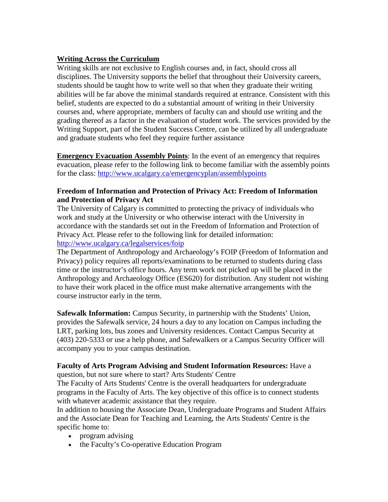## **Writing Across the Curriculum**

Writing skills are not exclusive to English courses and, in fact, should cross all disciplines. The University supports the belief that throughout their University careers, students should be taught how to write well so that when they graduate their writing abilities will be far above the minimal standards required at entrance. Consistent with this belief, students are expected to do a substantial amount of writing in their University courses and, where appropriate, members of faculty can and should use writing and the grading thereof as a factor in the evaluation of student work. The services provided by the Writing Support, part of the Student Success Centre, can be utilized by all undergraduate and graduate students who feel they require further assistance

**Emergency Evacuation Assembly Points**: In the event of an emergency that requires evacuation, please refer to the following link to become familiar with the assembly points for the class:<http://www.ucalgary.ca/emergencyplan/assemblypoints>

## **Freedom of Information and Protection of Privacy Act: Freedom of Information and Protection of Privacy Act**

The University of Calgary is committed to protecting the privacy of individuals who work and study at the University or who otherwise interact with the University in accordance with the standards set out in the Freedom of Information and Protection of Privacy Act. Please refer to the following link for detailed information: <http://www.ucalgary.ca/legalservices/foip>

The Department of Anthropology and Archaeology's FOIP (Freedom of Information and Privacy) policy requires all reports/examinations to be returned to students during class time or the instructor's office hours. Any term work not picked up will be placed in the Anthropology and Archaeology Office (ES620) for distribution. Any student not wishing to have their work placed in the office must make alternative arrangements with the course instructor early in the term.

**Safewalk Information:** Campus Security, in partnership with the Students' Union, provides the Safewalk service, 24 hours a day to any location on Campus including the LRT, parking lots, bus zones and University residences. Contact Campus Security at (403) 220-5333 or use a help phone, and Safewalkers or a Campus Security Officer will accompany you to your campus destination.

### **Faculty of Arts Program Advising and Student Information Resources:** Have a question, but not sure where to start? Arts Students' Centre

The Faculty of Arts Students' Centre is the overall headquarters for undergraduate programs in the Faculty of Arts. The key objective of this office is to connect students with whatever academic assistance that they require.

In addition to housing the Associate Dean, Undergraduate Programs and Student Affairs and the Associate Dean for Teaching and Learning, the Arts Students' Centre is the specific home to:

- program advising
- the Faculty's Co-operative Education Program